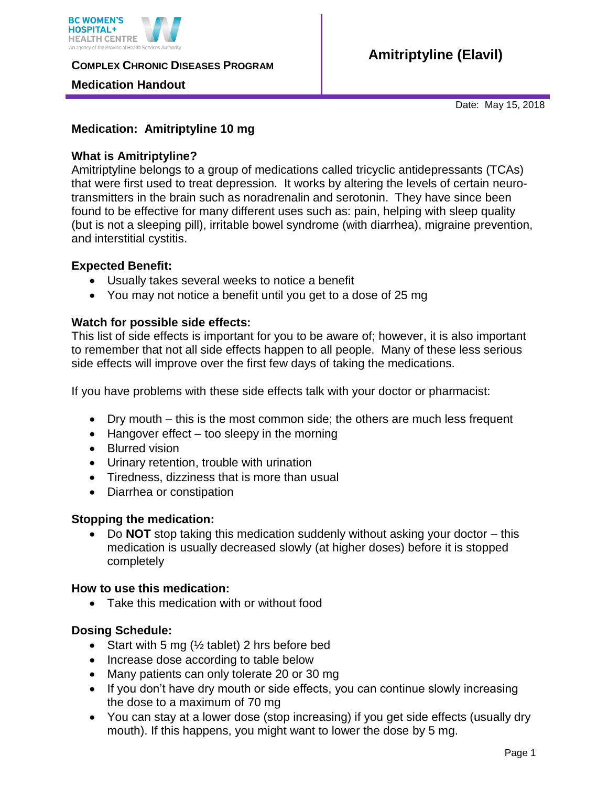

**COMPLEX CHRONIC DISEASES PROGRAM** 

## **Medication Handout**

Date: May 15, 2018

## **Medication: Amitriptyline 10 mg**

## **What is Amitriptyline?**

Amitriptyline belongs to a group of medications called tricyclic antidepressants (TCAs) that were first used to treat depression. It works by altering the levels of certain neurotransmitters in the brain such as noradrenalin and serotonin. They have since been found to be effective for many different uses such as: pain, helping with sleep quality (but is not a sleeping pill), irritable bowel syndrome (with diarrhea), migraine prevention, and interstitial cystitis.

## **Expected Benefit:**

- Usually takes several weeks to notice a benefit
- You may not notice a benefit until you get to a dose of 25 mg

## **Watch for possible side effects:**

This list of side effects is important for you to be aware of; however, it is also important to remember that not all side effects happen to all people. Many of these less serious side effects will improve over the first few days of taking the medications.

If you have problems with these side effects talk with your doctor or pharmacist:

- Dry mouth this is the most common side; the others are much less frequent
- $\bullet$  Hangover effect too sleepy in the morning
- Blurred vision
- Urinary retention, trouble with urination
- Tiredness, dizziness that is more than usual
- Diarrhea or constipation

# **Stopping the medication:**

 Do **NOT** stop taking this medication suddenly without asking your doctor – this medication is usually decreased slowly (at higher doses) before it is stopped completely

#### **How to use this medication:**

Take this medication with or without food

# **Dosing Schedule:**

- Start with 5 mg  $\frac{1}{2}$  tablet) 2 hrs before bed
- Increase dose according to table below
- Many patients can only tolerate 20 or 30 mg
- If you don't have dry mouth or side effects, you can continue slowly increasing the dose to a maximum of 70 mg
- You can stay at a lower dose (stop increasing) if you get side effects (usually dry mouth). If this happens, you might want to lower the dose by 5 mg.